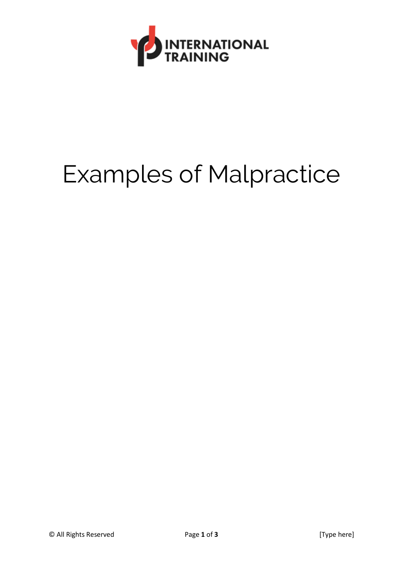

## Examples of Malpractice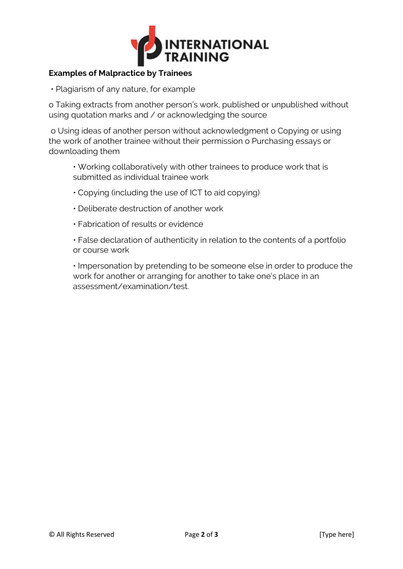

## **Examples of Malpractice by Trainees**

• Plagiarism of any nature, for example

o Taking extracts from another person's work, published or unpublished without using quotation marks and / or acknowledging the source

o Using ideas of another person without acknowledgment o Copying or using the work of another trainee without their permission o Purchasing essays or downloading them

- Working collaboratively with other trainees to produce work that is submitted as individual trainee work
- Copying (including the use of ICT to aid copying)
- Deliberate destruction of another work
- Fabrication of results or evidence

• False declaration of authenticity in relation to the contents of a portfolio or course work

• Impersonation by pretending to be someone else in order to produce the work for another or arranging for another to take one's place in an assessment/examination/test.